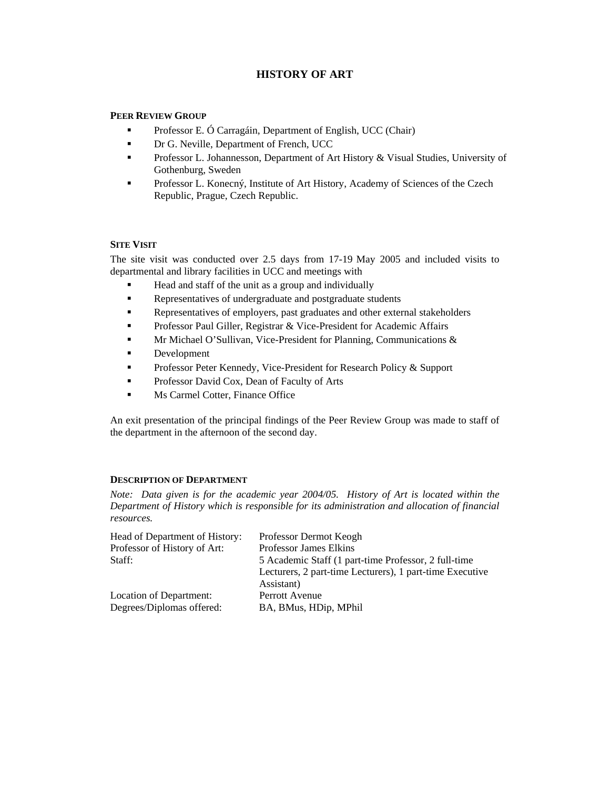# **HISTORY OF ART**

# **PEER REVIEW GROUP**

- **Professor E. Ó Carragáin, Department of English, UCC (Chair)**
- **Dr G. Neville, Department of French, UCC**
- **Professor L. Johannesson, Department of Art History & Visual Studies, University of** Gothenburg, Sweden
- Professor L. Konecný, Institute of Art History, Academy of Sciences of the Czech Republic, Prague, Czech Republic.

# **SITE VISIT**

The site visit was conducted over 2.5 days from 17-19 May 2005 and included visits to departmental and library facilities in UCC and meetings with

- Head and staff of the unit as a group and individually
- Representatives of undergraduate and postgraduate students
- Representatives of employers, past graduates and other external stakeholders
- Professor Paul Giller, Registrar & Vice-President for Academic Affairs
- Mr Michael O'Sullivan, Vice-President for Planning, Communications &
- **Development**
- **Professor Peter Kennedy, Vice-President for Research Policy & Support**
- **Professor David Cox, Dean of Faculty of Arts**
- Ms Carmel Cotter, Finance Office

An exit presentation of the principal findings of the Peer Review Group was made to staff of the department in the afternoon of the second day.

## **DESCRIPTION OF DEPARTMENT**

*Note: Data given is for the academic year 2004/05. History of Art is located within the Department of History which is responsible for its administration and allocation of financial resources.* 

| Head of Department of History: | Professor Dermot Keogh                                   |
|--------------------------------|----------------------------------------------------------|
| Professor of History of Art:   | <b>Professor James Elkins</b>                            |
| Staff:                         | 5 Academic Staff (1 part-time Professor, 2 full-time     |
|                                | Lecturers, 2 part-time Lecturers), 1 part-time Executive |
|                                | Assistant)                                               |
| Location of Department:        | Perrott Avenue                                           |
| Degrees/Diplomas offered:      | BA, BMus, HDip, MPhil                                    |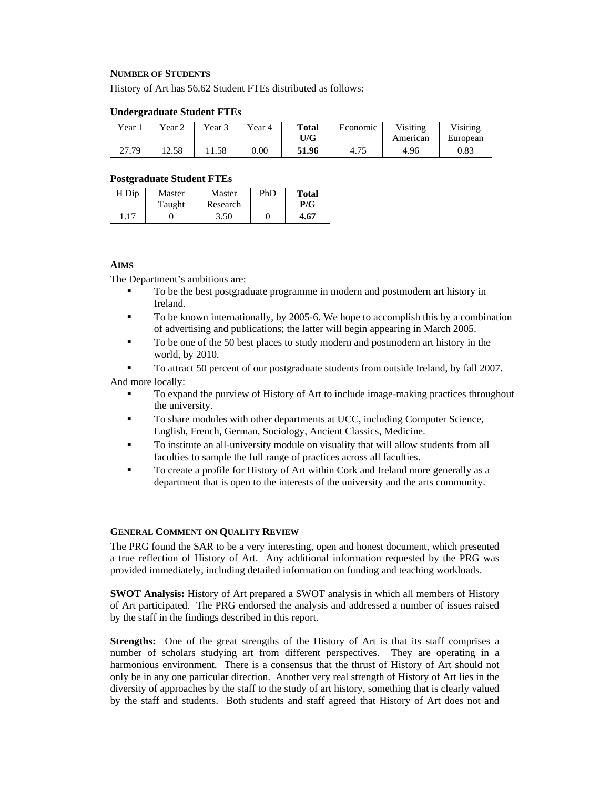### **NUMBER OF STUDENTS**

History of Art has 56.62 Student FTEs distributed as follows:

#### **Undergraduate Student FTEs**

| $Year_1$          | ear 2 | Year 3 | Year 4 | <b>Total</b><br>U/G | Economic | Visiting<br>American | Visiting<br>European |
|-------------------|-------|--------|--------|---------------------|----------|----------------------|----------------------|
| 70<br>າາ<br>21.17 | 12.58 | 1.58   | 0.00   | 51.96               | 4.75     | 4.96                 | 0.83                 |

#### **Postgraduate Student FTEs**

| H Dip | Master | Master   | PhD | <b>Total</b> |
|-------|--------|----------|-----|--------------|
|       | Taught | Research |     | P/G          |
| 1.17  |        | 3.50     |     | 4.67         |

# **AIMS**

The Department's ambitions are:

- To be the best postgraduate programme in modern and postmodern art history in Ireland.
- To be known internationally, by 2005-6. We hope to accomplish this by a combination of advertising and publications; the latter will begin appearing in March 2005.
- To be one of the 50 best places to study modern and postmodern art history in the world, by 2010.

 To attract 50 percent of our postgraduate students from outside Ireland, by fall 2007. And more locally:

- To expand the purview of History of Art to include image-making practices throughout the university.
- To share modules with other departments at UCC, including Computer Science, English, French, German, Sociology, Ancient Classics, Medicine.
- To institute an all-university module on visuality that will allow students from all faculties to sample the full range of practices across all faculties.
- To create a profile for History of Art within Cork and Ireland more generally as a department that is open to the interests of the university and the arts community.

## **GENERAL COMMENT ON QUALITY REVIEW**

The PRG found the SAR to be a very interesting, open and honest document, which presented a true reflection of History of Art. Any additional information requested by the PRG was provided immediately, including detailed information on funding and teaching workloads.

**SWOT Analysis:** History of Art prepared a SWOT analysis in which all members of History of Art participated. The PRG endorsed the analysis and addressed a number of issues raised by the staff in the findings described in this report.

**Strengths:** One of the great strengths of the History of Art is that its staff comprises a number of scholars studying art from different perspectives. They are operating in a harmonious environment. There is a consensus that the thrust of History of Art should not only be in any one particular direction. Another very real strength of History of Art lies in the diversity of approaches by the staff to the study of art history, something that is clearly valued by the staff and students. Both students and staff agreed that History of Art does not and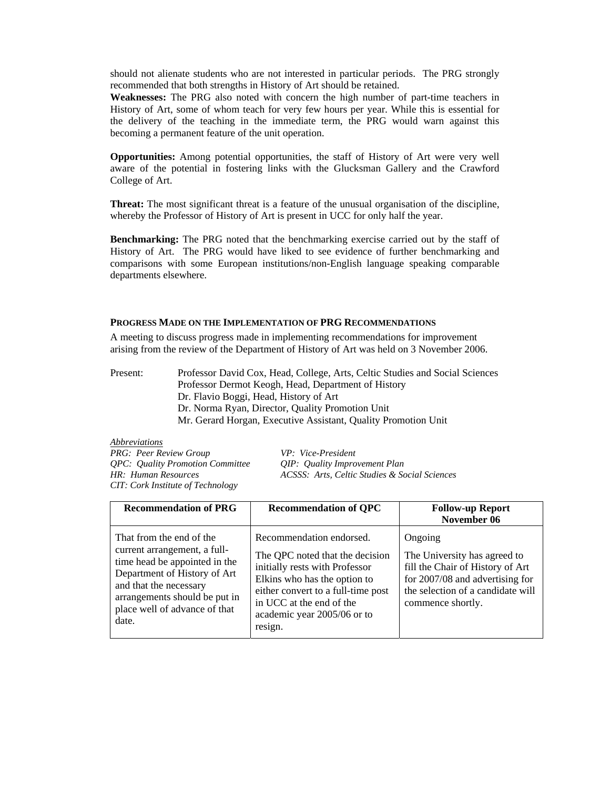should not alienate students who are not interested in particular periods. The PRG strongly recommended that both strengths in History of Art should be retained.

**Weaknesses:** The PRG also noted with concern the high number of part-time teachers in History of Art, some of whom teach for very few hours per year. While this is essential for the delivery of the teaching in the immediate term, the PRG would warn against this becoming a permanent feature of the unit operation.

**Opportunities:** Among potential opportunities, the staff of History of Art were very well aware of the potential in fostering links with the Glucksman Gallery and the Crawford College of Art.

**Threat:** The most significant threat is a feature of the unusual organisation of the discipline, whereby the Professor of History of Art is present in UCC for only half the year.

**Benchmarking:** The PRG noted that the benchmarking exercise carried out by the staff of History of Art. The PRG would have liked to see evidence of further benchmarking and comparisons with some European institutions/non-English language speaking comparable departments elsewhere.

#### **PROGRESS MADE ON THE IMPLEMENTATION OF PRG RECOMMENDATIONS**

A meeting to discuss progress made in implementing recommendations for improvement arising from the review of the Department of History of Art was held on 3 November 2006.

Present: Professor David Cox, Head, College, Arts, Celtic Studies and Social Sciences Professor Dermot Keogh, Head, Department of History Dr. Flavio Boggi, Head, History of Art Dr. Norma Ryan, Director, Quality Promotion Unit Mr. Gerard Horgan, Executive Assistant, Quality Promotion Unit

*Abbreviations PRG: Peer Review Group VP: Vice-President QPC: Quality Promotion Committee QIP: Quality Improvement Plan CIT: Cork Institute of Technology* 

*HR: Human Resources ACSSS: Arts, Celtic Studies & Social Sciences* 

| <b>Recommendation of PRG</b>                                                                                                                                                                                                   | <b>Recommendation of QPC</b>                                                                                                                                                                                                              | <b>Follow-up Report</b><br>November 06                                                                                                                                   |
|--------------------------------------------------------------------------------------------------------------------------------------------------------------------------------------------------------------------------------|-------------------------------------------------------------------------------------------------------------------------------------------------------------------------------------------------------------------------------------------|--------------------------------------------------------------------------------------------------------------------------------------------------------------------------|
| That from the end of the<br>current arrangement, a full-<br>time head be appointed in the<br>Department of History of Art<br>and that the necessary<br>arrangements should be put in<br>place well of advance of that<br>date. | Recommendation endorsed.<br>The QPC noted that the decision<br>initially rests with Professor<br>Elkins who has the option to<br>either convert to a full-time post<br>in UCC at the end of the<br>academic year 2005/06 or to<br>resign. | Ongoing<br>The University has agreed to<br>fill the Chair of History of Art<br>for 2007/08 and advertising for<br>the selection of a candidate will<br>commence shortly. |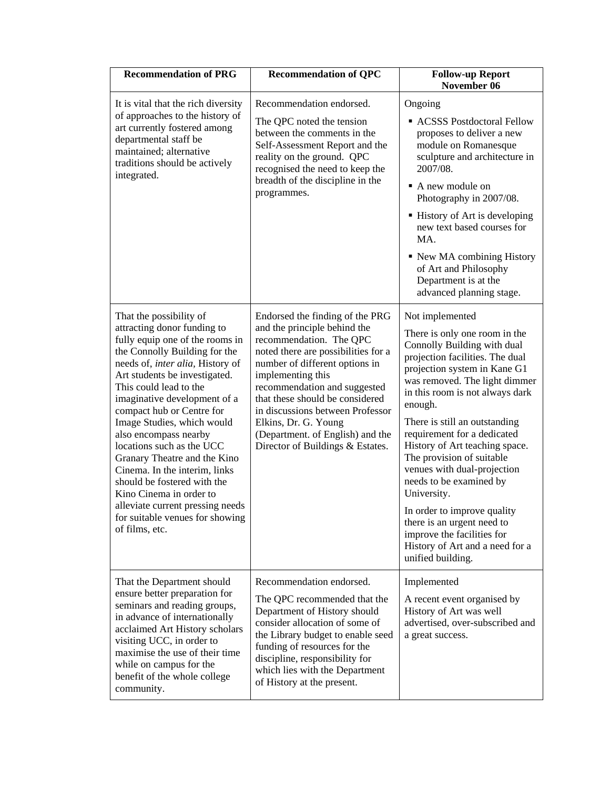| <b>Recommendation of PRG</b>                                                                                                                                                                                                                                                                                                                                                                                                                                                                                                                                                                   | <b>Recommendation of QPC</b>                                                                                                                                                                                                                                                                                                                                                                    | <b>Follow-up Report</b><br>November 06                                                                                                                                                                                                                                                                                                                                                                                                                                                                                                                                                       |
|------------------------------------------------------------------------------------------------------------------------------------------------------------------------------------------------------------------------------------------------------------------------------------------------------------------------------------------------------------------------------------------------------------------------------------------------------------------------------------------------------------------------------------------------------------------------------------------------|-------------------------------------------------------------------------------------------------------------------------------------------------------------------------------------------------------------------------------------------------------------------------------------------------------------------------------------------------------------------------------------------------|----------------------------------------------------------------------------------------------------------------------------------------------------------------------------------------------------------------------------------------------------------------------------------------------------------------------------------------------------------------------------------------------------------------------------------------------------------------------------------------------------------------------------------------------------------------------------------------------|
| It is vital that the rich diversity<br>of approaches to the history of<br>art currently fostered among<br>departmental staff be<br>maintained; alternative<br>traditions should be actively<br>integrated.                                                                                                                                                                                                                                                                                                                                                                                     | Recommendation endorsed.<br>The QPC noted the tension<br>between the comments in the<br>Self-Assessment Report and the<br>reality on the ground. QPC<br>recognised the need to keep the<br>breadth of the discipline in the<br>programmes.                                                                                                                                                      | Ongoing<br>ACSSS Postdoctoral Fellow<br>proposes to deliver a new<br>module on Romanesque<br>sculpture and architecture in<br>2007/08.<br>A new module on<br>Photography in 2007/08.<br>■ History of Art is developing<br>new text based courses for<br>MA.<br>• New MA combining History<br>of Art and Philosophy<br>Department is at the<br>advanced planning stage.                                                                                                                                                                                                                       |
| That the possibility of<br>attracting donor funding to<br>fully equip one of the rooms in<br>the Connolly Building for the<br>needs of, inter alia, History of<br>Art students be investigated.<br>This could lead to the<br>imaginative development of a<br>compact hub or Centre for<br>Image Studies, which would<br>also encompass nearby<br>locations such as the UCC<br>Granary Theatre and the Kino<br>Cinema. In the interim, links<br>should be fostered with the<br>Kino Cinema in order to<br>alleviate current pressing needs<br>for suitable venues for showing<br>of films, etc. | Endorsed the finding of the PRG<br>and the principle behind the<br>recommendation. The QPC<br>noted there are possibilities for a<br>number of different options in<br>implementing this<br>recommendation and suggested<br>that these should be considered<br>in discussions between Professor<br>Elkins, Dr. G. Young<br>(Department. of English) and the<br>Director of Buildings & Estates. | Not implemented<br>There is only one room in the<br>Connolly Building with dual<br>projection facilities. The dual<br>projection system in Kane G1<br>was removed. The light dimmer<br>in this room is not always dark<br>enough.<br>There is still an outstanding<br>requirement for a dedicated<br>History of Art teaching space.<br>The provision of suitable<br>venues with dual-projection<br>needs to be examined by<br>University.<br>In order to improve quality<br>there is an urgent need to<br>improve the facilities for<br>History of Art and a need for a<br>unified building. |
| That the Department should<br>ensure better preparation for<br>seminars and reading groups,<br>in advance of internationally<br>acclaimed Art History scholars<br>visiting UCC, in order to<br>maximise the use of their time<br>while on campus for the<br>benefit of the whole college<br>community.                                                                                                                                                                                                                                                                                         | Recommendation endorsed.<br>The QPC recommended that the<br>Department of History should<br>consider allocation of some of<br>the Library budget to enable seed<br>funding of resources for the<br>discipline, responsibility for<br>which lies with the Department<br>of History at the present.                                                                                               | Implemented<br>A recent event organised by<br>History of Art was well<br>advertised, over-subscribed and<br>a great success.                                                                                                                                                                                                                                                                                                                                                                                                                                                                 |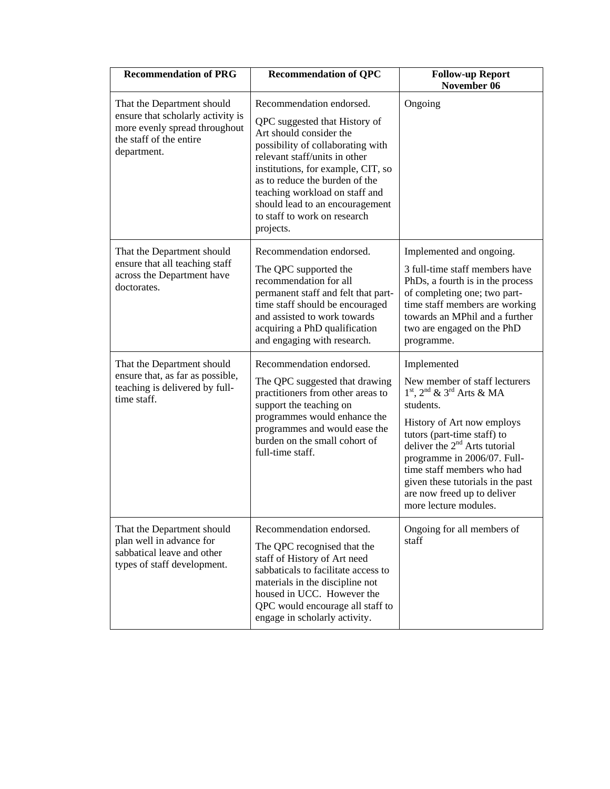| <b>Recommendation of PRG</b>                                                                                                               | <b>Recommendation of QPC</b>                                                                                                                                                                                                                                                                                                                         | <b>Follow-up Report</b><br>November 06                                                                                                                                                                                                                                                                                                                           |
|--------------------------------------------------------------------------------------------------------------------------------------------|------------------------------------------------------------------------------------------------------------------------------------------------------------------------------------------------------------------------------------------------------------------------------------------------------------------------------------------------------|------------------------------------------------------------------------------------------------------------------------------------------------------------------------------------------------------------------------------------------------------------------------------------------------------------------------------------------------------------------|
| That the Department should<br>ensure that scholarly activity is<br>more evenly spread throughout<br>the staff of the entire<br>department. | Recommendation endorsed.<br>QPC suggested that History of<br>Art should consider the<br>possibility of collaborating with<br>relevant staff/units in other<br>institutions, for example, CIT, so<br>as to reduce the burden of the<br>teaching workload on staff and<br>should lead to an encouragement<br>to staff to work on research<br>projects. | Ongoing                                                                                                                                                                                                                                                                                                                                                          |
| That the Department should<br>ensure that all teaching staff<br>across the Department have<br>doctorates.                                  | Recommendation endorsed.<br>The QPC supported the<br>recommendation for all<br>permanent staff and felt that part-<br>time staff should be encouraged<br>and assisted to work towards<br>acquiring a PhD qualification<br>and engaging with research.                                                                                                | Implemented and ongoing.<br>3 full-time staff members have<br>PhDs, a fourth is in the process<br>of completing one; two part-<br>time staff members are working<br>towards an MPhil and a further<br>two are engaged on the PhD<br>programme.                                                                                                                   |
| That the Department should<br>ensure that, as far as possible,<br>teaching is delivered by full-<br>time staff.                            | Recommendation endorsed.<br>The QPC suggested that drawing<br>practitioners from other areas to<br>support the teaching on<br>programmes would enhance the<br>programmes and would ease the<br>burden on the small cohort of<br>full-time staff.                                                                                                     | Implemented<br>New member of staff lecturers<br>$1st$ , $2nd$ & $3rd$ Arts & MA<br>students.<br>History of Art now employs<br>tutors (part-time staff) to<br>deliver the 2 <sup>nd</sup> Arts tutorial<br>programme in 2006/07. Full-<br>time staff members who had<br>given these tutorials in the past<br>are now freed up to deliver<br>more lecture modules. |
| That the Department should<br>plan well in advance for<br>sabbatical leave and other<br>types of staff development.                        | Recommendation endorsed.<br>The QPC recognised that the<br>staff of History of Art need<br>sabbaticals to facilitate access to<br>materials in the discipline not<br>housed in UCC. However the<br>QPC would encourage all staff to<br>engage in scholarly activity.                                                                                 | Ongoing for all members of<br>staff                                                                                                                                                                                                                                                                                                                              |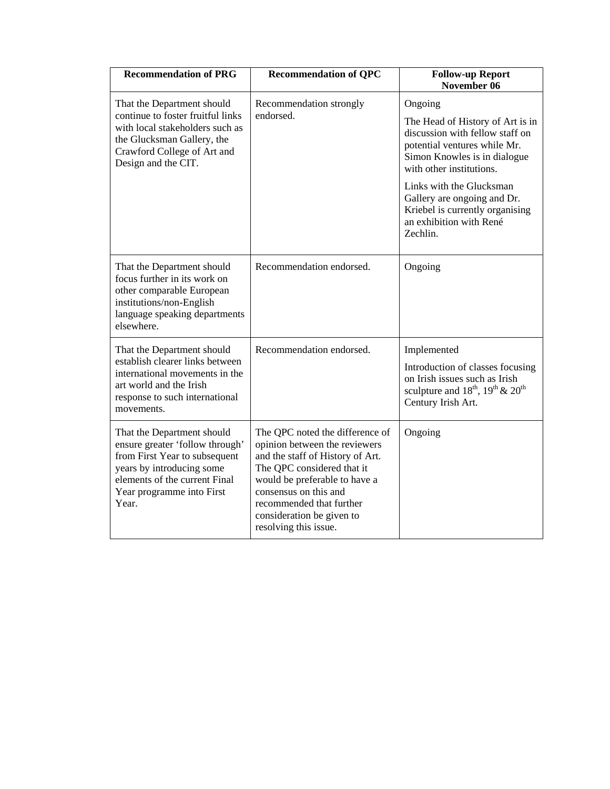| <b>Recommendation of PRG</b>                                                                                                                                                                       | <b>Recommendation of QPC</b>                                                                                                                                                                                                                                                   | <b>Follow-up Report</b><br>November 06                                                                                                                                                                                                                                                                          |
|----------------------------------------------------------------------------------------------------------------------------------------------------------------------------------------------------|--------------------------------------------------------------------------------------------------------------------------------------------------------------------------------------------------------------------------------------------------------------------------------|-----------------------------------------------------------------------------------------------------------------------------------------------------------------------------------------------------------------------------------------------------------------------------------------------------------------|
| That the Department should<br>continue to foster fruitful links<br>with local stakeholders such as<br>the Glucksman Gallery, the<br>Crawford College of Art and<br>Design and the CIT.             | Recommendation strongly<br>endorsed.                                                                                                                                                                                                                                           | Ongoing<br>The Head of History of Art is in<br>discussion with fellow staff on<br>potential ventures while Mr.<br>Simon Knowles is in dialogue<br>with other institutions.<br>Links with the Glucksman<br>Gallery are ongoing and Dr.<br>Kriebel is currently organising<br>an exhibition with René<br>Zechlin. |
| That the Department should<br>focus further in its work on<br>other comparable European<br>institutions/non-English<br>language speaking departments<br>elsewhere.                                 | Recommendation endorsed.                                                                                                                                                                                                                                                       | Ongoing                                                                                                                                                                                                                                                                                                         |
| That the Department should<br>establish clearer links between<br>international movements in the<br>art world and the Irish<br>response to such international<br>movements.                         | Recommendation endorsed.                                                                                                                                                                                                                                                       | Implemented<br>Introduction of classes focusing<br>on Irish issues such as Irish<br>sculpture and $18^{th}$ , $19^{th}$ & $20^{th}$<br>Century Irish Art.                                                                                                                                                       |
| That the Department should<br>ensure greater 'follow through'<br>from First Year to subsequent<br>years by introducing some<br>elements of the current Final<br>Year programme into First<br>Year. | The QPC noted the difference of<br>opinion between the reviewers<br>and the staff of History of Art.<br>The QPC considered that it<br>would be preferable to have a<br>consensus on this and<br>recommended that further<br>consideration be given to<br>resolving this issue. | Ongoing                                                                                                                                                                                                                                                                                                         |